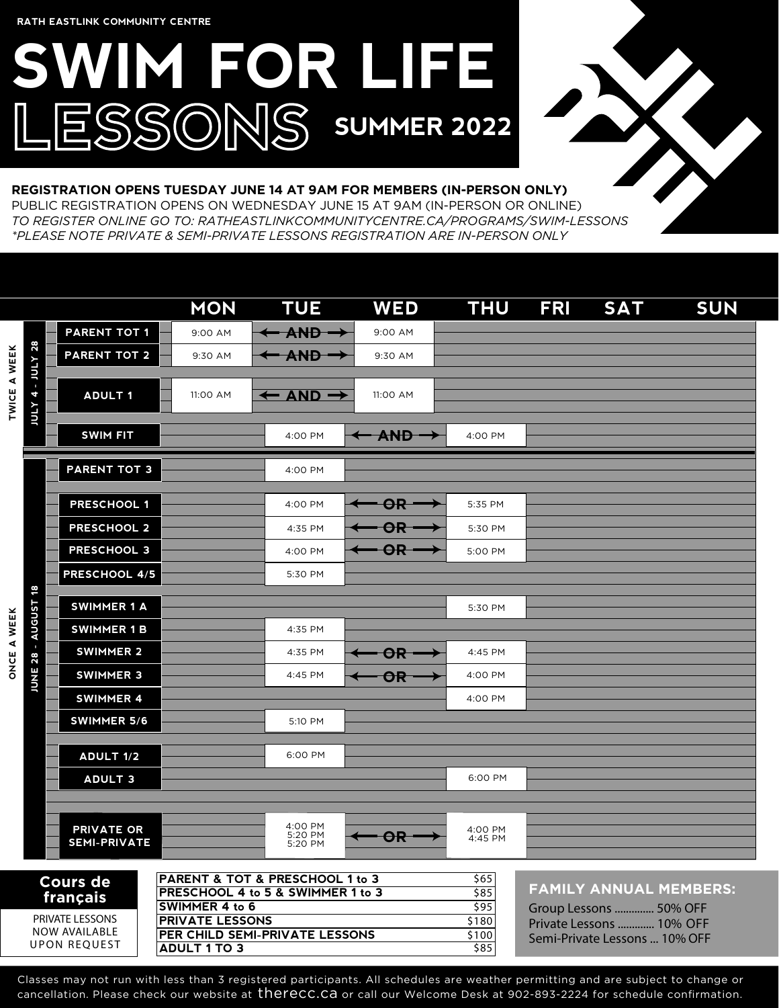# **SWIM FOR LIFE** ESSONS SUMMER 2022



#### **REGISTRATION OPENS TUESDAY JUNE 14 AT 9AM FOR MEMBERS (IN-PERSON ONLY)**

PUBLIC REGISTRATION OPENS ON WEDNESDAY JUNE 15 AT 9AM (IN-PERSON OR ONLINE) *TO REGISTER ONLINE GO TO: RATHEASTLINKCOMMUNITYCENTRE.CA/PROGRAMS/SWIM-LESSONS \*PLEASE NOTE PRIVATE & SEMI-PRIVATE LESSONS REGISTRATION ARE IN-PERSON ONLY*

|                                                                                                                                                                                                                                                                            |               |                                          | <b>MON</b> | <b>TUE</b>                                    | <b>WED</b>               | <b>THU</b>                                                                                                           | <b>FRI</b> | <b>SAT</b> | <b>SUN</b> |
|----------------------------------------------------------------------------------------------------------------------------------------------------------------------------------------------------------------------------------------------------------------------------|---------------|------------------------------------------|------------|-----------------------------------------------|--------------------------|----------------------------------------------------------------------------------------------------------------------|------------|------------|------------|
| TWICE A WEEK<br><b>ATIOF</b>                                                                                                                                                                                                                                               |               | <b>PARENT TOT 1</b>                      | 9:00 AM    | AND -                                         | 9:00 AM                  |                                                                                                                      |            |            |            |
|                                                                                                                                                                                                                                                                            | 28            | <b>PARENT TOT 2</b>                      | 9:30 AM    | <b>AND</b>                                    | 9:30 AM                  |                                                                                                                      |            |            |            |
|                                                                                                                                                                                                                                                                            | Annr-<br>4    | <b>ADULT 1</b>                           | 11:00 AM   | $\leftarrow$ AND $\rightarrow$                | 11:00 AM                 |                                                                                                                      |            |            |            |
|                                                                                                                                                                                                                                                                            |               | <b>SWIM FIT</b>                          |            | 4:00 PM                                       | <del>– AND </del>        | 4:00 PM                                                                                                              |            |            |            |
|                                                                                                                                                                                                                                                                            |               | <b>PARENT TOT 3</b>                      |            | 4:00 PM                                       |                          |                                                                                                                      |            |            |            |
|                                                                                                                                                                                                                                                                            |               | <b>PRESCHOOL 1</b>                       |            | 4:00 PM                                       | $\Theta$ R               | 5:35 PM                                                                                                              |            |            |            |
|                                                                                                                                                                                                                                                                            |               | <b>PRESCHOOL 2</b>                       |            | 4:35 PM                                       | OR                       | 5:30 PM                                                                                                              |            |            |            |
|                                                                                                                                                                                                                                                                            |               | <b>PRESCHOOL 3</b>                       |            | 4:00 PM                                       | $\overline{\mathsf{OR}}$ | 5:00 PM                                                                                                              |            |            |            |
|                                                                                                                                                                                                                                                                            |               | PRESCHOOL 4/5                            |            | 5:30 PM                                       |                          |                                                                                                                      |            |            |            |
|                                                                                                                                                                                                                                                                            | 8             | <b>SWIMMER 1 A</b>                       |            |                                               |                          | 5:30 PM                                                                                                              |            |            |            |
|                                                                                                                                                                                                                                                                            | <b>AUGUST</b> | <b>SWIMMER 1 B</b>                       |            | 4:35 PM                                       |                          |                                                                                                                      |            |            |            |
| ONCE A WEEK                                                                                                                                                                                                                                                                | ×<br>28       | <b>SWIMMER 2</b>                         |            | 4:35 PM                                       | OR                       | 4:45 PM                                                                                                              |            |            |            |
|                                                                                                                                                                                                                                                                            | <b>JUNE</b>   | <b>SWIMMER 3</b>                         |            | 4:45 PM                                       | OR                       | 4:00 PM                                                                                                              |            |            |            |
|                                                                                                                                                                                                                                                                            |               | <b>SWIMMER 4</b>                         |            |                                               |                          | 4:00 PM                                                                                                              |            |            |            |
|                                                                                                                                                                                                                                                                            |               | <b>SWIMMER 5/6</b>                       |            | 5:10 PM                                       |                          |                                                                                                                      |            |            |            |
|                                                                                                                                                                                                                                                                            |               | <b>ADULT 1/2</b>                         |            | 6:00 PM                                       |                          |                                                                                                                      |            |            |            |
|                                                                                                                                                                                                                                                                            |               | <b>ADULT 3</b>                           |            |                                               |                          | 6:00 PM                                                                                                              |            |            |            |
|                                                                                                                                                                                                                                                                            |               |                                          |            |                                               |                          |                                                                                                                      |            |            |            |
|                                                                                                                                                                                                                                                                            |               | <b>PRIVATE OR</b><br><b>SEMI-PRIVATE</b> |            | 4:00 PM<br>5:20 PM<br>5:20 PM                 | OR                       | 4:00 PM<br>4:45 PM                                                                                                   |            |            |            |
| PARENT & TOT & PRESCHOOL 1 to 3<br><b>Cours de</b><br>PRESCHOOL 4 to 5 & SWIMMER 1 to 3<br>français<br>SWIMMER 4 to 6<br>PRIVATE LESSONS<br><b>PRIVATE LESSONS</b><br><b>NOW AVAILABLE</b><br>PER CHILD SEMI-PRIVATE LESSONS<br><b>UPON REQUEST</b><br><b>ADULT 1 TO 3</b> |               |                                          |            | \$65<br>585<br>\$95<br>\$180<br>\$100<br>\$85 |                          | <b>FAMILY ANNUAL MEMBERS:</b><br>Group Lessons  50% OFF<br>Private Lessons  10% OFF<br>Semi-Private Lessons  10% OFF |            |            |            |

Classes may not run with less than 3 registered participants. All schedules are weather permitting and are subject to change or cancellation. Please check our website at therecc.ca or call our Welcome Desk at 902-893-2224 for schedule confirmation.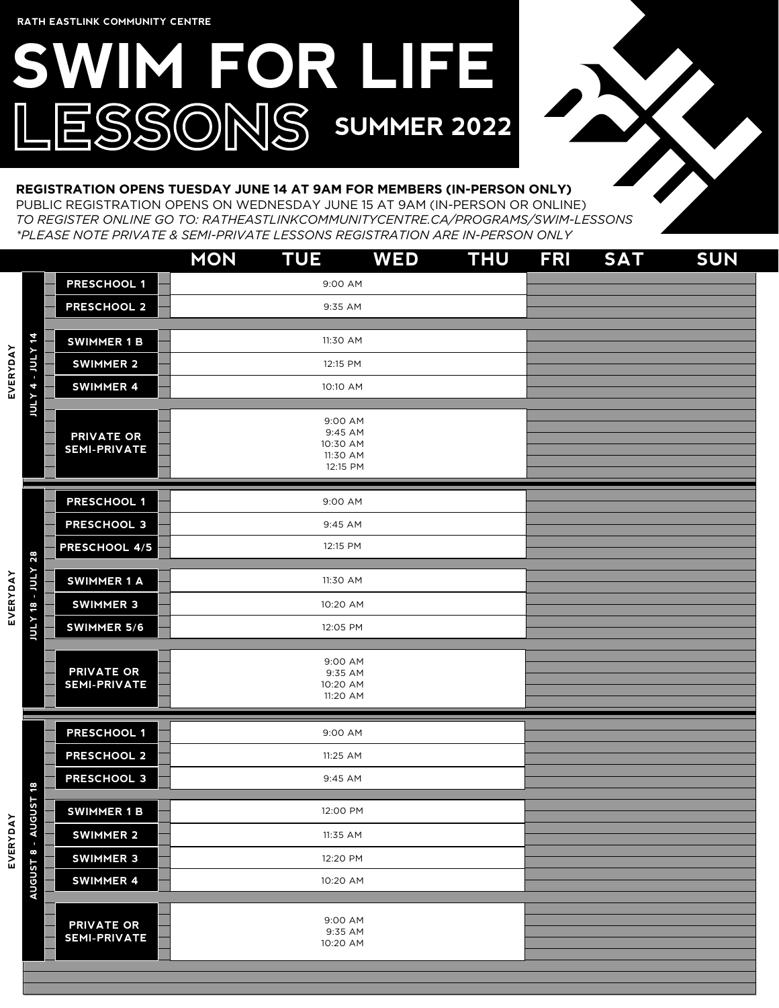## **SWIM FOR LIFE** ESSONS SUMMER 2022



#### **REGISTRATION OPENS TUESDAY JUNE 14 AT 9AM FOR MEMBERS (IN-PERSON ONLY)**

PUBLIC REGISTRATION OPENS ON WEDNESDAY JUNE 15 AT 9AM (IN-PERSON OR ONLINE) *TO REGISTER ONLINE GO TO: RATHEASTLINKCOMMUNITYCENTRE.CA/PROGRAMS/SWIM-LESSONS \*PLEASE NOTE PRIVATE & SEMI-PRIVATE LESSONS REGISTRATION ARE IN-PERSON ONLY*

|                 |                          |                                          | <b>MON</b> | <b>TUE</b>                                             | <b>WED</b> | <b>THU</b> | <b>FRI</b> | <b>SAT</b> | <b>SUN</b> |
|-----------------|--------------------------|------------------------------------------|------------|--------------------------------------------------------|------------|------------|------------|------------|------------|
|                 |                          | <b>PRESCHOOL 1</b>                       |            | 9:00 AM                                                |            |            |            |            |            |
|                 |                          | <b>PRESCHOOL 2</b>                       |            | 9:35 AM                                                |            |            |            |            |            |
|                 |                          |                                          |            |                                                        |            |            |            |            |            |
|                 | <b>HEX 4 - JULY 14</b>   | <b>SWIMMER 1 B</b>                       |            | 11:30 AM                                               |            |            |            |            |            |
| <b>EVERYDAY</b> |                          | <b>SWIMMER 2</b>                         |            | 12:15 PM                                               |            |            |            |            |            |
|                 |                          | <b>SWIMMER 4</b>                         |            | 10:10 AM                                               |            |            |            |            |            |
|                 |                          | <b>PRIVATE OR</b><br><b>SEMI-PRIVATE</b> |            | 9:00 AM<br>9:45 AM<br>10:30 AM<br>11:30 AM<br>12:15 PM |            |            |            |            |            |
|                 |                          | <b>PRESCHOOL 1</b>                       |            | 9:00 AM                                                |            |            |            |            |            |
|                 |                          | <b>PRESCHOOL 3</b>                       |            | 9:45 AM                                                |            |            |            |            |            |
|                 |                          | PRESCHOOL 4/5                            |            | 12:15 PM                                               |            |            |            |            |            |
|                 |                          |                                          |            |                                                        |            |            |            |            |            |
|                 |                          | <b>SWIMMER 1 A</b>                       |            | 11:30 AM                                               |            |            |            |            |            |
| <b>EVERYDAY</b> | <b>JULY 18 - JULY 28</b> | <b>SWIMMER 3</b>                         |            | 10:20 AM                                               |            |            |            |            |            |
|                 |                          | SWIMMER 5/6                              |            | 12:05 PM                                               |            |            |            |            |            |
|                 |                          | <b>PRIVATE OR</b><br><b>SEMI-PRIVATE</b> |            | 9:00 AM<br>9:35 AM<br>10:20 AM<br>11:20 AM             |            |            |            |            |            |
|                 |                          | <b>PRESCHOOL 1</b>                       |            | 9:00 AM                                                |            |            |            |            |            |
|                 |                          | <b>PRESCHOOL 2</b>                       |            | 11:25 AM                                               |            |            |            |            |            |
|                 |                          | PRESCHOOL 3                              |            | 9:45 AM                                                |            |            |            |            |            |
|                 | GUST <sub>18</sub>       | <b>SWIMMER 1 B</b>                       |            | 12:00 PM                                               |            |            |            |            |            |
| EVERYDAY        |                          | <b>SWIMMER 2</b>                         |            | 11:35 AM                                               |            |            |            |            |            |
|                 |                          | <b>SWIMMER 3</b>                         |            | 12:20 PM                                               |            |            |            |            |            |
|                 | AUGUST 8 - AU            | <b>SWIMMER 4</b>                         |            | 10:20 AM                                               |            |            |            |            |            |
|                 |                          | <b>PRIVATE OR</b><br><b>SEMI-PRIVATE</b> |            | 9:00 AM<br>9:35 AM<br>10:20 AM                         |            |            |            |            |            |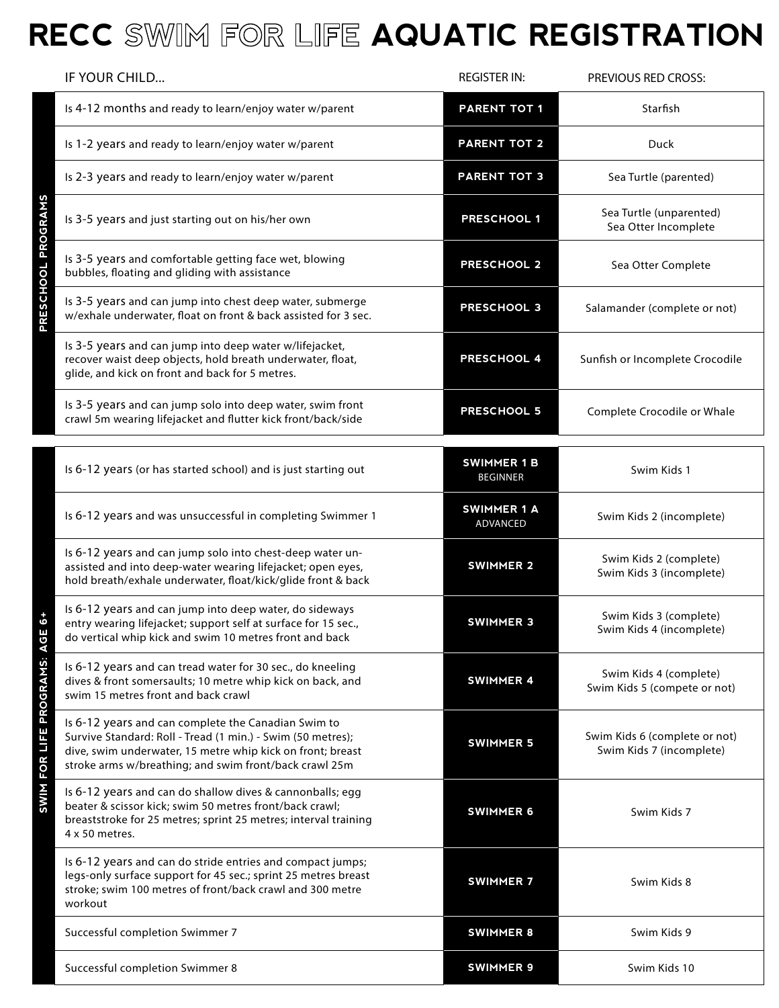## **RECC SWIM FOR LIFE AQUATIC REGISTRATION**

| IF YOUR CHILD                                                                                                                                                                                                                                          | <b>REGISTER IN:</b>                   | <b>PREVIOUS RED CROSS:</b>                                |  |  |
|--------------------------------------------------------------------------------------------------------------------------------------------------------------------------------------------------------------------------------------------------------|---------------------------------------|-----------------------------------------------------------|--|--|
| Is 4-12 months and ready to learn/enjoy water w/parent                                                                                                                                                                                                 | <b>PARENT TOT 1</b>                   | Starfish                                                  |  |  |
| Is 1-2 years and ready to learn/enjoy water w/parent                                                                                                                                                                                                   | <b>PARENT TOT 2</b>                   | Duck                                                      |  |  |
| Is 2-3 years and ready to learn/enjoy water w/parent                                                                                                                                                                                                   | <b>PARENT TOT 3</b>                   | Sea Turtle (parented)                                     |  |  |
| <b>OGRA</b><br>Is 3-5 years and just starting out on his/her own                                                                                                                                                                                       | <b>PRESCHOOL 1</b>                    | Sea Turtle (unparented)<br>Sea Otter Incomplete           |  |  |
| Is 3-5 years and comfortable getting face wet, blowing<br>bubbles, floating and gliding with assistance                                                                                                                                                | <b>PRESCHOOL 2</b>                    | Sea Otter Complete                                        |  |  |
| <b>RESCHOOL</b><br>Is 3-5 years and can jump into chest deep water, submerge<br>w/exhale underwater, float on front & back assisted for 3 sec.                                                                                                         | <b>PRESCHOOL 3</b>                    | Salamander (complete or not)                              |  |  |
| Is 3-5 years and can jump into deep water w/lifejacket,<br>recover waist deep objects, hold breath underwater, float,<br>glide, and kick on front and back for 5 metres.                                                                               | <b>PRESCHOOL 4</b>                    | Sunfish or Incomplete Crocodile                           |  |  |
| Is 3-5 years and can jump solo into deep water, swim front<br>crawl 5m wearing lifejacket and flutter kick front/back/side                                                                                                                             | <b>PRESCHOOL 5</b>                    | Complete Crocodile or Whale                               |  |  |
| Is 6-12 years (or has started school) and is just starting out                                                                                                                                                                                         | <b>SWIMMER 1 B</b><br><b>BEGINNER</b> | Swim Kids 1                                               |  |  |
| Is 6-12 years and was unsuccessful in completing Swimmer 1                                                                                                                                                                                             | <b>SWIMMER 1 A</b><br>ADVANCED        | Swim Kids 2 (incomplete)                                  |  |  |
| Is 6-12 years and can jump solo into chest-deep water un-<br>assisted and into deep-water wearing lifejacket; open eyes,<br>hold breath/exhale underwater, float/kick/glide front & back                                                               | <b>SWIMMER 2</b>                      | Swim Kids 2 (complete)<br>Swim Kids 3 (incomplete)        |  |  |
| Is 6-12 years and can jump into deep water, do sideways<br>entry wearing lifejacket; support self at surface for 15 sec.,<br>do vertical whip kick and swim 10 metres front and back                                                                   | <b>SWIMMER 3</b>                      | Swim Kids 3 (complete)<br>Swim Kids 4 (incomplete)        |  |  |
| <b>PROGRAMS: AG</b><br>Is 6-12 years and can tread water for 30 sec., do kneeling<br>dives & front somersaults; 10 metre whip kick on back, and<br>swim 15 metres front and back crawl                                                                 | <b>SWIMMER 4</b>                      | Swim Kids 4 (complete)<br>Swim Kids 5 (compete or not)    |  |  |
| Is 6-12 years and can complete the Canadian Swim to<br>FOR LIFE<br>Survive Standard: Roll - Tread (1 min.) - Swim (50 metres);<br>dive, swim underwater, 15 metre whip kick on front; breast<br>stroke arms w/breathing; and swim front/back crawl 25m | <b>SWIMMER 5</b>                      | Swim Kids 6 (complete or not)<br>Swim Kids 7 (incomplete) |  |  |
| SWIM<br>Is 6-12 years and can do shallow dives & cannonballs; egg<br>beater & scissor kick; swim 50 metres front/back crawl;<br>breaststroke for 25 metres; sprint 25 metres; interval training<br>4 x 50 metres.                                      | <b>SWIMMER 6</b>                      | Swim Kids 7                                               |  |  |
| Is 6-12 years and can do stride entries and compact jumps;<br>legs-only surface support for 45 sec.; sprint 25 metres breast<br>stroke; swim 100 metres of front/back crawl and 300 metre<br>workout                                                   | <b>SWIMMER 7</b>                      | Swim Kids 8                                               |  |  |
| Successful completion Swimmer 7                                                                                                                                                                                                                        | <b>SWIMMER 8</b>                      | Swim Kids 9                                               |  |  |
| Successful completion Swimmer 8                                                                                                                                                                                                                        | <b>SWIMMER 9</b>                      | Swim Kids 10                                              |  |  |